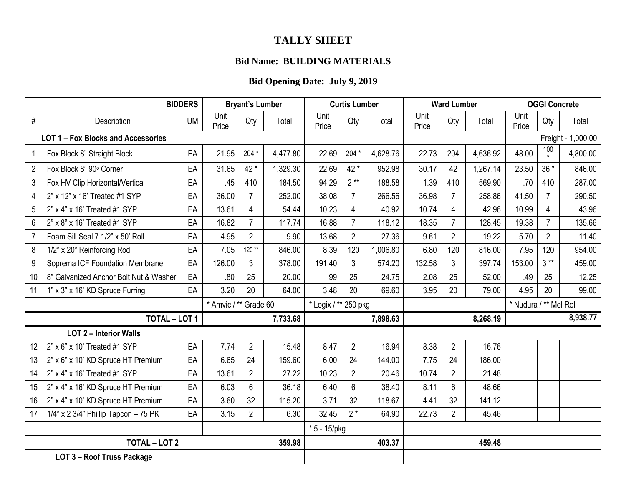## **TALLY SHEET**

## **Bid Name: BUILDING MATERIALS**

## **Bid Opening Date: July 9, 2019**

| <b>BIDDERS</b> |                                         |           | <b>Bryant's Lumber</b> |                |          | <b>Curtis Lumber</b> |                |          |               | <b>Ward Lumber</b> | <b>OGGI Concrete</b>  |               |                |                    |
|----------------|-----------------------------------------|-----------|------------------------|----------------|----------|----------------------|----------------|----------|---------------|--------------------|-----------------------|---------------|----------------|--------------------|
| $\#$           | Description                             | <b>UM</b> | Unit<br>Price          | Qty            | Total    | Unit<br>Price        | Qty            | Total    | Unit<br>Price | Qty                | Total                 | Unit<br>Price | Qty            | Total              |
|                | LOT 1 - Fox Blocks and Accessories      |           |                        |                |          |                      |                |          |               |                    |                       |               |                | Freight - 1,000.00 |
| 1              | Fox Block 8" Straight Block             | EA        | 21.95                  | 204 *          | 4,477.80 | 22.69                | 204 *          | 4,628.76 | 22.73         | 204                | 4,636.92              | 48.00         | 100            | 4,800.00           |
| $\overline{2}$ | Fox Block 8" 90° Corner                 | EA        | 31.65                  | 42 *           | 1,329.30 | 22.69                | 42 *           | 952.98   | 30.17         | 42                 | 1,267.14              | 23.50         | $36*$          | 846.00             |
| 3              | Fox HV Clip Horizontal/Vertical         | EA        | .45                    | 410            | 184.50   | 94.29                | $2**$          | 188.58   | 1.39          | 410                | 569.90                | .70           | 410            | 287.00             |
| $\overline{4}$ | 2" x 12" x 16' Treated #1 SYP           | EA        | 36.00                  | $\overline{7}$ | 252.00   | 38.08                | $\overline{7}$ | 266.56   | 36.98         | $\overline{7}$     | 258.86                | 41.50         | $\overline{7}$ | 290.50             |
| 5              | 2" x 4" x 16' Treated #1 SYP            | EA        | 13.61                  | 4              | 54.44    | 10.23                | 4              | 40.92    | 10.74         | 4                  | 42.96                 | 10.99         | $\overline{4}$ | 43.96              |
| $6\phantom{1}$ | 2" x 8" x 16' Treated #1 SYP            | EA        | 16.82                  | $\overline{7}$ | 117.74   | 16.88                | $\overline{7}$ | 118.12   | 18.35         | $\overline{7}$     | 128.45                | 19.38         | $\overline{7}$ | 135.66             |
| $\overline{7}$ | Foam Sill Seal 7 1/2" x 50' Roll        | EA        | 4.95                   | $\overline{2}$ | 9.90     | 13.68                | $\overline{2}$ | 27.36    | 9.61          | $\overline{2}$     | 19.22                 | 5.70          | $\overline{2}$ | 11.40              |
| 8              | 1/2" x 20" Reinforcing Rod              | EA        | 7.05                   | $120**$        | 846.00   | 8.39                 | 120            | 1,006.80 | 6.80          | 120                | 816.00                | 7.95          | 120            | 954.00             |
| $9\,$          | Soprema ICF Foundation Membrane         | EA        | 126.00                 | 3              | 378.00   | 191.40               | 3              | 574.20   | 132.58        | 3                  | 397.74                | 153.00        | $3**$          | 459.00             |
| 10             | 8" Galvanized Anchor Bolt Nut & Washer  | EA        | .80                    | 25             | 20.00    | .99                  | 25             | 24.75    | 2.08          | 25                 | 52.00                 | .49           | 25             | 12.25              |
| 11             | 1" x 3" x 16' KD Spruce Furring         | EA        | 3.20                   | 20             | 64.00    | 3.48                 | 20             | 69.60    | 3.95          | 20                 | 79.00                 | 4.95          | 20             | 99.00              |
|                |                                         |           | * Amvic / ** Grade 60  |                |          | * Logix / ** 250 pkg |                |          |               |                    | * Nudura / ** Mel Rol |               |                |                    |
|                | <b>TOTAL - LOT 1</b>                    |           |                        |                | 7,733.68 |                      |                | 7,898.63 |               |                    | 8,268.19              |               |                | 8,938.77           |
|                | <b>LOT 2 - Interior Walls</b>           |           |                        |                |          |                      |                |          |               |                    |                       |               |                |                    |
| 12             | 2" x 6" x 10' Treated #1 SYP            | EA        | 7.74                   | $\overline{2}$ | 15.48    | 8.47                 | $\overline{2}$ | 16.94    | 8.38          | $\overline{2}$     | 16.76                 |               |                |                    |
| 13             | 2" x 6" x 10' KD Spruce HT Premium      | EA        | 6.65                   | 24             | 159.60   | 6.00                 | 24             | 144.00   | 7.75          | 24                 | 186.00                |               |                |                    |
| 14             | 2" x 4" x 16' Treated #1 SYP            | EA        | 13.61                  | $\overline{2}$ | 27.22    | 10.23                | $\overline{2}$ | 20.46    | 10.74         | $\overline{2}$     | 21.48                 |               |                |                    |
| 15             | 2" x 4" x 16' KD Spruce HT Premium      | EA        | 6.03                   | 6              | 36.18    | 6.40                 | $6\phantom{1}$ | 38.40    | 8.11          | 6                  | 48.66                 |               |                |                    |
| 16             | 2" x 4" x 10' KD Spruce HT Premium      | EA        | 3.60                   | 32             | 115.20   | 3.71                 | 32             | 118.67   | 4.41          | 32                 | 141.12                |               |                |                    |
| 17             | $1/4$ " x 2 3/4" Phillip Tapcon - 75 PK | EA        | 3.15                   | $\overline{2}$ | 6.30     | 32.45                | $2*$           | 64.90    | 22.73         | $\overline{2}$     | 45.46                 |               |                |                    |
|                |                                         |           |                        |                |          | $* 5 - 15$ /pkg      |                |          |               |                    |                       |               |                |                    |
|                | <b>TOTAL - LOT 2</b>                    |           |                        |                | 359.98   |                      |                | 403.37   |               |                    | 459.48                |               |                |                    |
|                | LOT 3 - Roof Truss Package              |           |                        |                |          |                      |                |          |               |                    |                       |               |                |                    |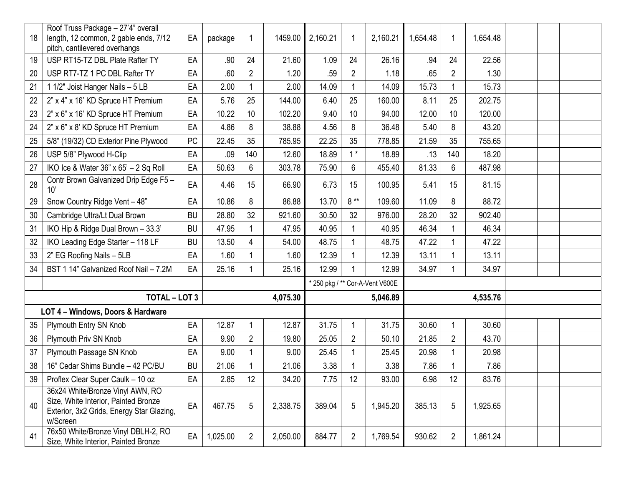| 18 | Roof Truss Package - 27'4" overall<br>length, 12 common, 2 gable ends, 7/12<br>pitch, cantilevered overhangs                      | EA        | package  | 1              | 1459.00  | 2,160.21 | -1             | 2,160.21                        | 1,654.48 | 1              | 1,654.48 |  |  |
|----|-----------------------------------------------------------------------------------------------------------------------------------|-----------|----------|----------------|----------|----------|----------------|---------------------------------|----------|----------------|----------|--|--|
| 19 | USP RT15-TZ DBL Plate Rafter TY                                                                                                   | EA        | .90      | 24             | 21.60    | 1.09     | 24             | 26.16                           | .94      | 24             | 22.56    |  |  |
| 20 | USP RT7-TZ 1 PC DBL Rafter TY                                                                                                     | EA        | .60      | $\mathbf{2}$   | 1.20     | .59      | $\overline{2}$ | 1.18                            | .65      | $\overline{2}$ | 1.30     |  |  |
| 21 | 1 1/2" Joist Hanger Nails - 5 LB                                                                                                  | EA        | 2.00     | 1              | 2.00     | 14.09    |                | 14.09                           | 15.73    |                | 15.73    |  |  |
| 22 | 2" x 4" x 16' KD Spruce HT Premium                                                                                                | EA        | 5.76     | 25             | 144.00   | 6.40     | 25             | 160.00                          | 8.11     | 25             | 202.75   |  |  |
| 23 | 2" x 6" x 16' KD Spruce HT Premium                                                                                                | EA        | 10.22    | 10             | 102.20   | 9.40     | 10             | 94.00                           | 12.00    | 10             | 120.00   |  |  |
| 24 | 2" x 6" x 8' KD Spruce HT Premium                                                                                                 | EA        | 4.86     | 8              | 38.88    | 4.56     | 8              | 36.48                           | 5.40     | 8              | 43.20    |  |  |
| 25 | 5/8" (19/32) CD Exterior Pine Plywood                                                                                             | <b>PC</b> | 22.45    | 35             | 785.95   | 22.25    | 35             | 778.85                          | 21.59    | 35             | 755.65   |  |  |
| 26 | USP 5/8" Plywood H-Clip                                                                                                           | EA        | .09      | 140            | 12.60    | 18.89    | $1*$           | 18.89                           | .13      | 140            | 18.20    |  |  |
| 27 | IKO Ice & Water $36" \times 65' - 2$ Sq Roll                                                                                      | EA        | 50.63    | 6              | 303.78   | 75.90    | 6              | 455.40                          | 81.33    | 6              | 487.98   |  |  |
| 28 | Contr Brown Galvanized Drip Edge F5 -<br>10'                                                                                      | EA        | 4.46     | 15             | 66.90    | 6.73     | 15             | 100.95                          | 5.41     | 15             | 81.15    |  |  |
| 29 | Snow Country Ridge Vent - 48"                                                                                                     | EA        | 10.86    | 8              | 86.88    | 13.70    | $8**$          | 109.60                          | 11.09    | 8              | 88.72    |  |  |
| 30 | Cambridge Ultra/Lt Dual Brown                                                                                                     | <b>BU</b> | 28.80    | 32             | 921.60   | 30.50    | 32             | 976.00                          | 28.20    | 32             | 902.40   |  |  |
| 31 | IKO Hip & Ridge Dual Brown - 33.3'                                                                                                | <b>BU</b> | 47.95    | 1              | 47.95    | 40.95    |                | 40.95                           | 46.34    |                | 46.34    |  |  |
| 32 | IKO Leading Edge Starter - 118 LF                                                                                                 | <b>BU</b> | 13.50    | 4              | 54.00    | 48.75    |                | 48.75                           | 47.22    |                | 47.22    |  |  |
| 33 | 2" EG Roofing Nails - 5LB                                                                                                         | EA        | 1.60     |                | 1.60     | 12.39    |                | 12.39                           | 13.11    |                | 13.11    |  |  |
| 34 | BST 1 14" Galvanized Roof Nail - 7.2M                                                                                             | EA        | 25.16    |                | 25.16    | 12.99    |                | 12.99                           | 34.97    |                | 34.97    |  |  |
|    |                                                                                                                                   |           |          |                |          |          |                | * 250 pkg / ** Cor-A-Vent V600E |          |                |          |  |  |
|    | <b>TOTAL - LOT 3</b>                                                                                                              |           |          |                | 4,075.30 |          |                | 5,046.89                        |          |                | 4,535.76 |  |  |
|    | LOT 4 - Windows, Doors & Hardware                                                                                                 |           |          |                |          |          |                |                                 |          |                |          |  |  |
| 35 | Plymouth Entry SN Knob                                                                                                            | EA        | 12.87    | 1              | 12.87    | 31.75    |                | 31.75                           | 30.60    | 1              | 30.60    |  |  |
| 36 | Plymouth Priv SN Knob                                                                                                             | EA        | 9.90     | $\overline{2}$ | 19.80    | 25.05    | $\overline{2}$ | 50.10                           | 21.85    | $\overline{2}$ | 43.70    |  |  |
| 37 | Plymouth Passage SN Knob                                                                                                          | EA        | 9.00     |                | 9.00     | 25.45    |                | 25.45                           | 20.98    |                | 20.98    |  |  |
| 38 | 16" Cedar Shims Bundle - 42 PC/BU                                                                                                 | <b>BU</b> | 21.06    |                | 21.06    | 3.38     |                | 3.38                            | 7.86     |                | 7.86     |  |  |
| 39 | Proflex Clear Super Caulk - 10 oz                                                                                                 | EA        | 2.85     | 12             | 34.20    | 7.75     | 12             | 93.00                           | 6.98     | 12             | 83.76    |  |  |
| 40 | 36x24 White/Bronze Vinyl AWN, RO<br>Size, White Interior, Painted Bronze<br>Exterior, 3x2 Grids, Energy Star Glazing,<br>w/Screen | EA        | 467.75   | 5              | 2,338.75 | 389.04   | 5              | 1,945.20                        | 385.13   | 5              | 1,925.65 |  |  |
| 41 | 76x50 White/Bronze Vinyl DBLH-2, RO<br>Size, White Interior, Painted Bronze                                                       | EA        | 1,025.00 | $\overline{2}$ | 2,050.00 | 884.77   | $\overline{2}$ | 1,769.54                        | 930.62   | $\overline{2}$ | 1,861.24 |  |  |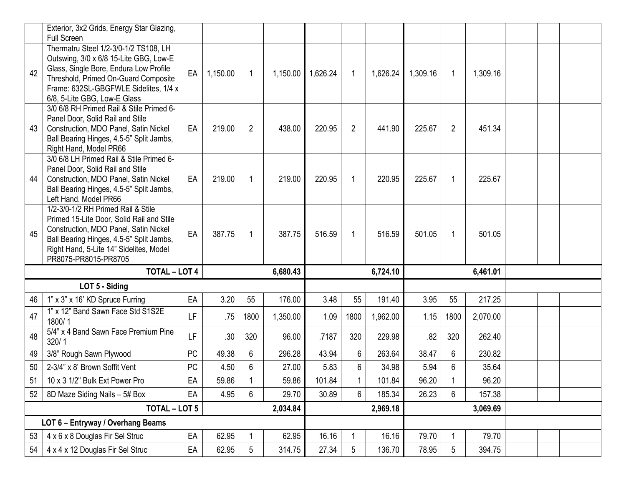|    | Exterior, 3x2 Grids, Energy Star Glazing,<br><b>Full Screen</b>                                                                                                                                                                            |           |          |                |                   |        |                |          |          |                |          |  |  |
|----|--------------------------------------------------------------------------------------------------------------------------------------------------------------------------------------------------------------------------------------------|-----------|----------|----------------|-------------------|--------|----------------|----------|----------|----------------|----------|--|--|
| 42 | Thermatru Steel 1/2-3/0-1/2 TS108, LH<br>Outswing, 3/0 x 6/8 15-Lite GBG, Low-E<br>Glass, Single Bore, Endura Low Profile<br>Threshold, Primed On-Guard Composite<br>Frame: 632SL-GBGFWLE Sidelites, 1/4 x<br>6/8, 5-Lite GBG, Low-E Glass | EA        | 1,150.00 | $\mathbf 1$    | 1,150.00 1,626.24 |        | $\overline{1}$ | 1,626.24 | 1,309.16 | 1              | 1,309.16 |  |  |
| 43 | 3/0 6/8 RH Primed Rail & Stile Primed 6-<br>Panel Door, Solid Rail and Stile<br>Construction, MDO Panel, Satin Nickel<br>Ball Bearing Hinges, 4.5-5" Split Jambs,<br>Right Hand, Model PR66                                                | EA        | 219.00   | $\overline{2}$ | 438.00            | 220.95 | $\overline{2}$ | 441.90   | 225.67   | $\overline{2}$ | 451.34   |  |  |
| 44 | 3/0 6/8 LH Primed Rail & Stile Primed 6-<br>Panel Door, Solid Rail and Stile<br>Construction, MDO Panel, Satin Nickel<br>Ball Bearing Hinges, 4.5-5" Split Jambs,<br>Left Hand, Model PR66                                                 | EA        | 219.00   | 1              | 219.00            | 220.95 | $\mathbf 1$    | 220.95   | 225.67   | $\mathbf 1$    | 225.67   |  |  |
| 45 | 1/2-3/0-1/2 RH Primed Rail & Stile<br>Primed 15-Lite Door, Solid Rail and Stile<br>Construction, MDO Panel, Satin Nickel<br>Ball Bearing Hinges, 4.5-5" Split Jambs,<br>Right Hand, 5-Lite 14" Sidelites, Model<br>PR8075-PR8015-PR8705    | EA        | 387.75   | $\mathbf 1$    | 387.75            | 516.59 | $\mathbf 1$    | 516.59   | 501.05   | $\mathbf{1}$   | 501.05   |  |  |
|    | <b>TOTAL - LOT 4</b>                                                                                                                                                                                                                       |           |          |                | 6,680.43          |        |                | 6,724.10 |          |                | 6,461.01 |  |  |
|    | LOT 5 - Siding                                                                                                                                                                                                                             |           |          |                |                   |        |                |          |          |                |          |  |  |
| 46 | 1" x 3" x 16' KD Spruce Furring                                                                                                                                                                                                            | EA        | 3.20     | 55             | 176.00            | 3.48   | 55             | 191.40   | 3.95     | 55             | 217.25   |  |  |
| 47 | 1" x 12" Band Sawn Face Std S1S2E<br>1800/1                                                                                                                                                                                                | LF.       | .75      | 1800           | 1,350.00          | 1.09   | 1800           | 1,962.00 | 1.15     | 1800           | 2,070.00 |  |  |
| 48 | 5/4" x 4 Band Sawn Face Premium Pine<br>320/1                                                                                                                                                                                              | LF        | .30      | 320            | 96.00             | .7187  | 320            | 229.98   | .82      | 320            | 262.40   |  |  |
| 49 | 3/8" Rough Sawn Plywood                                                                                                                                                                                                                    | <b>PC</b> | 49.38    | 6              | 296.28            | 43.94  | 6              | 263.64   | 38.47    | 6              | 230.82   |  |  |
| 50 | 2-3/4" x 8' Brown Soffit Vent                                                                                                                                                                                                              | <b>PC</b> | 4.50     | 6              | 27.00             | 5.83   | 6              | 34.98    | 5.94     | 6              | 35.64    |  |  |
| 51 | 10 x 3 1/2" Bulk Ext Power Pro                                                                                                                                                                                                             | EA        | 59.86    | 1              | 59.86             | 101.84 | 1              | 101.84   | 96.20    | 1              | 96.20    |  |  |
| 52 | 8D Maze Siding Nails - 5# Box                                                                                                                                                                                                              | EA        | 4.95     | 6              | 29.70             | 30.89  | 6              | 185.34   | 26.23    | 6              | 157.38   |  |  |
|    | <b>TOTAL - LOT 5</b>                                                                                                                                                                                                                       |           |          |                | 2,034.84          |        |                | 2,969.18 |          |                | 3,069.69 |  |  |
|    | LOT 6 - Entryway / Overhang Beams                                                                                                                                                                                                          |           |          |                |                   |        |                |          |          |                |          |  |  |
| 53 | 4 x 6 x 8 Douglas Fir Sel Struc                                                                                                                                                                                                            | EA        | 62.95    | 1              | 62.95             | 16.16  |                | 16.16    | 79.70    | 1              | 79.70    |  |  |
|    |                                                                                                                                                                                                                                            |           |          |                |                   |        |                |          |          |                |          |  |  |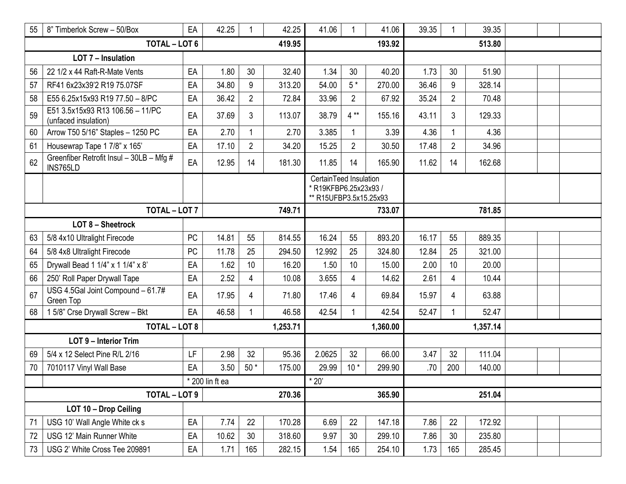| 55                       | 8" Timberlok Screw - 50/Box                              | EA        | 42.25           |                | 42.25    | 41.06                                                                   | 1              | 41.06    | 39.35 | 1              | 39.35  |  |  |
|--------------------------|----------------------------------------------------------|-----------|-----------------|----------------|----------|-------------------------------------------------------------------------|----------------|----------|-------|----------------|--------|--|--|
| <b>TOTAL - LOT 6</b>     |                                                          |           |                 |                | 419.95   |                                                                         |                | 193.92   |       |                | 513.80 |  |  |
| LOT 7 - Insulation       |                                                          |           |                 |                |          |                                                                         |                |          |       |                |        |  |  |
| 56                       | 22 1/2 x 44 Raft-R-Mate Vents                            | EA        | 1.80            | 30             | 32.40    | 1.34                                                                    | 30             | 40.20    | 1.73  | 30             | 51.90  |  |  |
| 57                       | RF41 6x23x39'2 R19 75.07SF                               | EA        | 34.80           | 9              | 313.20   | 54.00                                                                   | $5*$           | 270.00   | 36.46 | 9              | 328.14 |  |  |
| 58                       | E55 6.25x15x93 R19 77.50 - 8/PC                          | EA        | 36.42           | $\overline{2}$ | 72.84    | 33.96                                                                   | $\overline{c}$ | 67.92    | 35.24 | $\overline{2}$ | 70.48  |  |  |
| 59                       | E51 3.5x15x93 R13 106.56 - 11/PC<br>(unfaced insulation) | EA        | 37.69           | 3              | 113.07   | 38.79                                                                   | $4**$          | 155.16   | 43.11 | 3              | 129.33 |  |  |
| 60                       | Arrow T50 5/16" Staples - 1250 PC                        | EA        | 2.70            | 1              | 2.70     | 3.385                                                                   | $\mathbf{1}$   | 3.39     | 4.36  | 1              | 4.36   |  |  |
| 61                       | Housewrap Tape 1 7/8" x 165'                             | EA        | 17.10           | $\overline{2}$ | 34.20    | 15.25                                                                   | $\overline{2}$ | 30.50    | 17.48 | $\overline{2}$ | 34.96  |  |  |
| 62                       | Greenfiber Retrofit Insul - 30LB - Mfg #<br>INS765LD     | EA        | 12.95           | 14             | 181.30   | 11.85                                                                   | 14             | 165.90   | 11.62 | 14             | 162.68 |  |  |
|                          |                                                          |           |                 |                |          | CertainTeed Insulation<br>*R19KFBP6.25x23x93/<br>** R15UFBP3.5x15.25x93 |                |          |       |                |        |  |  |
|                          | <b>TOTAL - LOT 7</b>                                     |           |                 |                | 749.71   |                                                                         |                | 733.07   |       |                | 781.85 |  |  |
| <b>LOT 8 - Sheetrock</b> |                                                          |           |                 |                |          |                                                                         |                |          |       |                |        |  |  |
| 63                       | 5/8 4x10 Ultralight Firecode                             | <b>PC</b> | 14.81           | 55             | 814.55   | 16.24                                                                   | 55             | 893.20   | 16.17 | 55             | 889.35 |  |  |
| 64                       | 5/8 4x8 Ultralight Firecode                              | <b>PC</b> | 11.78           | 25             | 294.50   | 12.992                                                                  | 25             | 324.80   | 12.84 | 25             | 321.00 |  |  |
| 65                       | Drywall Bead 1 1/4" x 1 1/4" x 8"                        | EA        | 1.62            | 10             | 16.20    | 1.50                                                                    | 10             | 15.00    | 2.00  | 10             | 20.00  |  |  |
| 66                       | 250' Roll Paper Drywall Tape                             | EA        | 2.52            | 4              | 10.08    | 3.655                                                                   | 4              | 14.62    | 2.61  | 4              | 10.44  |  |  |
| 67                       | USG 4.5Gal Joint Compound - 61.7#<br>Green Top           | EA        | 17.95           | 4              | 71.80    | 17.46                                                                   | 4              | 69.84    | 15.97 | 4              | 63.88  |  |  |
| 68                       | 15/8" Crse Drywall Screw - Bkt                           | EA        | 46.58           |                | 46.58    | 42.54                                                                   | 1              | 42.54    | 52.47 | 1              | 52.47  |  |  |
|                          | <b>TOTAL - LOT 8</b>                                     |           |                 |                | 1,253.71 |                                                                         |                | 1,360.00 |       | 1,357.14       |        |  |  |
|                          | LOT 9 - Interior Trim                                    |           |                 |                |          |                                                                         |                |          |       |                |        |  |  |
| 69                       | 5/4 x 12 Select Pine R/L 2/16                            | LF        | 2.98            | 32             | 95.36    | 2.0625                                                                  | 32             | 66.00    | 3.47  | 32             | 111.04 |  |  |
| 70                       | 7010117 Vinyl Wall Base                                  | EA        | 3.50            | $50*$          | 175.00   | 29.99                                                                   | $10*$          | 299.90   | .70   | 200            | 140.00 |  |  |
|                          |                                                          |           | * 200 lin ft ea |                |          | $*20$                                                                   |                |          |       |                |        |  |  |
|                          | TOTAL - LOT 9                                            |           |                 |                | 270.36   |                                                                         |                | 365.90   |       |                | 251.04 |  |  |
|                          | LOT 10 - Drop Ceiling                                    |           |                 |                |          |                                                                         |                |          |       |                |        |  |  |
| 71                       | USG 10' Wall Angle White ck s                            | EA        | 7.74            | 22             | 170.28   | 6.69                                                                    | 22             | 147.18   | 7.86  | 22             | 172.92 |  |  |
| 72                       | USG 12' Main Runner White                                | EA        | 10.62           | 30             | 318.60   | 9.97                                                                    | 30             | 299.10   | 7.86  | 30             | 235.80 |  |  |
| 73                       | USG 2' White Cross Tee 209891                            | EA        | 1.71            | 165            | 282.15   | 1.54                                                                    | 165            | 254.10   | 1.73  | 165            | 285.45 |  |  |